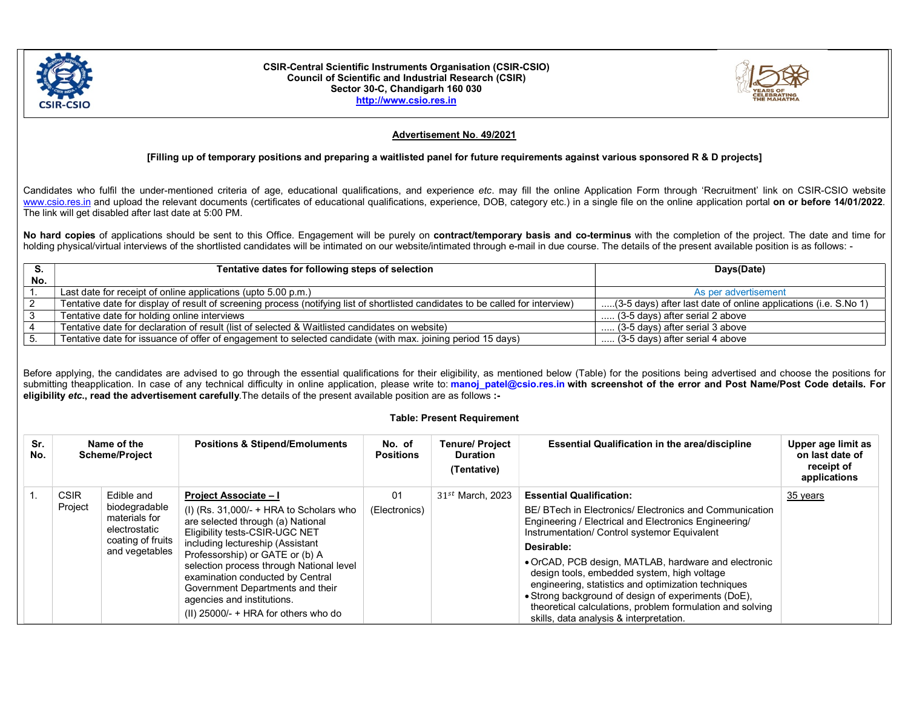

#### CSIR-Central Scientific Instruments Organisation (CSIR-CSIO) Council of Scientific and Industrial Research (CSIR) Sector 30-C, Chandigarh 160 030 http://www.csio.res.in



# Advertisement No. 49/2021

## [Filling up of temporary positions and preparing a waitlisted panel for future requirements against various sponsored R & D projects]

Candidates who fulfil the under-mentioned criteria of age, educational qualifications, and experience etc. may fill the online Application Form through 'Recruitment' link on CSIR-CSIO website www.csio.res.in and upload the relevant documents (certificates of educational qualifications, experience, DOB, category etc.) in a single file on the online application portal on or before 14/01/2022. The link will get disabled after last date at 5:00 PM.

No hard copies of applications should be sent to this Office. Engagement will be purely on contract/temporary basis and co-terminus with the completion of the project. The date and time for holding physical/virtual interviews of the shortlisted candidates will be intimated on our website/intimated through e-mail in due course. The details of the present available position is as follows: -

|     | Tentative dates for following steps of selection                                                                                | Days(Date)                                                      |  |  |
|-----|---------------------------------------------------------------------------------------------------------------------------------|-----------------------------------------------------------------|--|--|
| No. |                                                                                                                                 |                                                                 |  |  |
|     | Last date for receipt of online applications (upto 5.00 p.m.)                                                                   | As per advertisement                                            |  |  |
|     | Tentative date for display of result of screening process (notifying list of shortlisted candidates to be called for interview) | (3-5 days) after last date of online applications (i.e. S.No 1) |  |  |
|     | Tentative date for holding online interviews                                                                                    | $\ldots$ (3-5 days) after serial 2 above                        |  |  |
|     | Tentative date for declaration of result (list of selected & Waitlisted candidates on website)                                  | $\ldots$ (3-5 days) after serial 3 above                        |  |  |
|     | Tentative date for issuance of offer of engagement to selected candidate (with max. joining period 15 days)                     | (3-5 days) after serial 4 above                                 |  |  |

Before applying, the candidates are advised to go through the essential qualifications for their eligibility, as mentioned below (Table) for the positions being advertised and choose the positions for submitting theapplication. In case of any technical difficulty in online application, please write to: manoj patel@csio.res.in with screenshot of the error and Post Name/Post Code details. For eligibility etc., read the advertisement carefully.The details of the present available position are as follows :-

### Table: Present Requirement

| Sr.<br>No. |             | Name of the<br><b>Scheme/Project</b>                                 | <b>Positions &amp; Stipend/Emoluments</b>                                                                                                                                                                                                                                                                                                                                            | No. of<br><b>Positions</b> | <b>Tenure/ Project</b><br><b>Duration</b><br>(Tentative) | Essential Qualification in the area/discipline                                                                                                                                                                                                                                                                            | Upper age limit as<br>on last date of<br>receipt of<br>applications |
|------------|-------------|----------------------------------------------------------------------|--------------------------------------------------------------------------------------------------------------------------------------------------------------------------------------------------------------------------------------------------------------------------------------------------------------------------------------------------------------------------------------|----------------------------|----------------------------------------------------------|---------------------------------------------------------------------------------------------------------------------------------------------------------------------------------------------------------------------------------------------------------------------------------------------------------------------------|---------------------------------------------------------------------|
|            | <b>CSIR</b> | Edible and                                                           | <b>Project Associate - I</b>                                                                                                                                                                                                                                                                                                                                                         | 01                         | $31^{st}$ March, 2023                                    | <b>Essential Qualification:</b>                                                                                                                                                                                                                                                                                           | 35 years                                                            |
|            | Project     | biodegradable<br>materials for<br>electrostatic<br>coating of fruits | (I) (Rs. $31,000/$ - + HRA to Scholars who<br>are selected through (a) National<br>Eligibility tests-CSIR-UGC NET<br>including lectureship (Assistant<br>Professorship) or GATE or (b) A<br>selection process through National level<br>examination conducted by Central<br>Government Departments and their<br>agencies and institutions.<br>(II) $25000/- + HRA$ for others who do | (Electronics)              |                                                          | BE/BTech in Electronics/Electronics and Communication<br>Engineering / Electrical and Electronics Engineering/<br>Instrumentation/ Control systemor Equivalent<br>Desirable:                                                                                                                                              |                                                                     |
|            |             | and vegetables                                                       |                                                                                                                                                                                                                                                                                                                                                                                      |                            |                                                          |                                                                                                                                                                                                                                                                                                                           |                                                                     |
|            |             |                                                                      |                                                                                                                                                                                                                                                                                                                                                                                      |                            |                                                          | • OrCAD, PCB design, MATLAB, hardware and electronic<br>design tools, embedded system, high voltage<br>engineering, statistics and optimization techniques<br>• Strong background of design of experiments (DoE),<br>theoretical calculations, problem formulation and solving<br>skills, data analysis & interpretation. |                                                                     |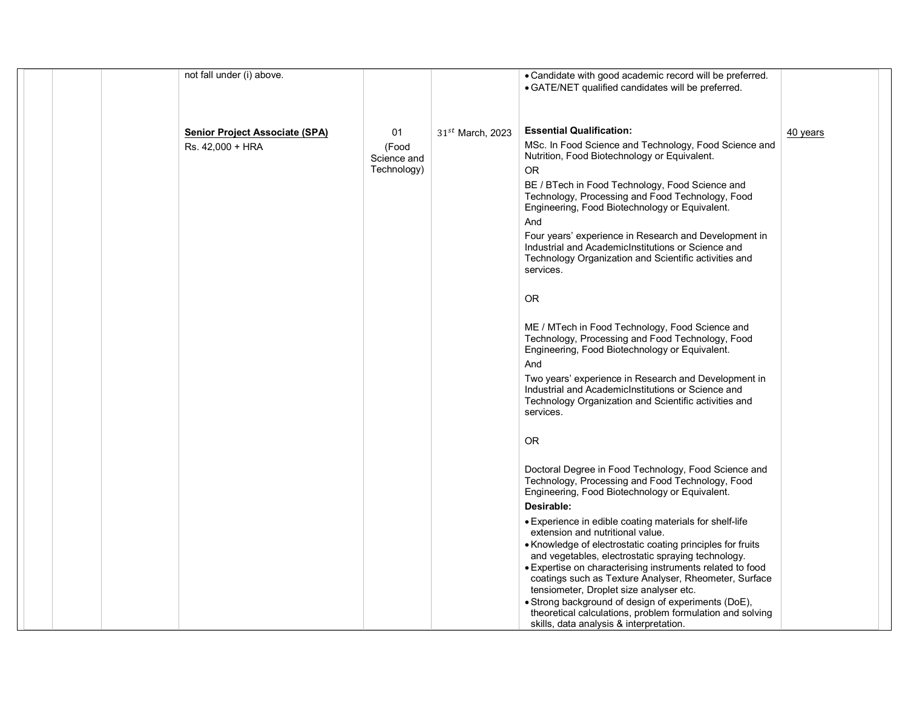| not fall under (i) above.             |                      |                       | • Candidate with good academic record will be preferred.<br>• GATE/NET qualified candidates will be preferred.                                                                    |          |
|---------------------------------------|----------------------|-----------------------|-----------------------------------------------------------------------------------------------------------------------------------------------------------------------------------|----------|
|                                       |                      |                       |                                                                                                                                                                                   |          |
|                                       |                      |                       |                                                                                                                                                                                   |          |
| <b>Senior Project Associate (SPA)</b> | 01                   | $31^{st}$ March, 2023 | <b>Essential Qualification:</b>                                                                                                                                                   | 40 years |
| Rs. 42,000 + HRA                      | (Food<br>Science and |                       | MSc. In Food Science and Technology, Food Science and<br>Nutrition, Food Biotechnology or Equivalent.                                                                             |          |
|                                       | Technology)          |                       | <b>OR</b>                                                                                                                                                                         |          |
|                                       |                      |                       | BE / BTech in Food Technology, Food Science and<br>Technology, Processing and Food Technology, Food<br>Engineering, Food Biotechnology or Equivalent.                             |          |
|                                       |                      |                       | And                                                                                                                                                                               |          |
|                                       |                      |                       | Four years' experience in Research and Development in<br>Industrial and AcademicInstitutions or Science and<br>Technology Organization and Scientific activities and<br>services. |          |
|                                       |                      |                       |                                                                                                                                                                                   |          |
|                                       |                      |                       | <b>OR</b>                                                                                                                                                                         |          |
|                                       |                      |                       | ME / MTech in Food Technology, Food Science and<br>Technology, Processing and Food Technology, Food<br>Engineering, Food Biotechnology or Equivalent.                             |          |
|                                       |                      |                       | And                                                                                                                                                                               |          |
|                                       |                      |                       | Two years' experience in Research and Development in<br>Industrial and AcademicInstitutions or Science and                                                                        |          |
|                                       |                      |                       | Technology Organization and Scientific activities and<br>services.                                                                                                                |          |
|                                       |                      |                       | <b>OR</b>                                                                                                                                                                         |          |
|                                       |                      |                       | Doctoral Degree in Food Technology, Food Science and<br>Technology, Processing and Food Technology, Food<br>Engineering, Food Biotechnology or Equivalent.                        |          |
|                                       |                      |                       | Desirable:                                                                                                                                                                        |          |
|                                       |                      |                       | • Experience in edible coating materials for shelf-life<br>extension and nutritional value.                                                                                       |          |
|                                       |                      |                       | • Knowledge of electrostatic coating principles for fruits                                                                                                                        |          |
|                                       |                      |                       | and vegetables, electrostatic spraying technology.                                                                                                                                |          |
|                                       |                      |                       | • Expertise on characterising instruments related to food<br>coatings such as Texture Analyser, Rheometer, Surface                                                                |          |
|                                       |                      |                       | tensiometer, Droplet size analyser etc.                                                                                                                                           |          |
|                                       |                      |                       | • Strong background of design of experiments (DoE),                                                                                                                               |          |
|                                       |                      |                       | theoretical calculations, problem formulation and solving<br>skills, data analysis & interpretation.                                                                              |          |